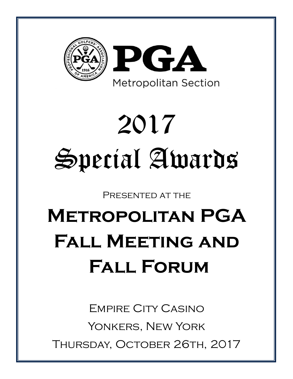

# 2017 Special Awards

PRESENTED AT THE

## **Metropolitan PGA Fall Meeting and Fall Forum**

Empire City Casino Yonkers, New York Thursday, October 26th, 2017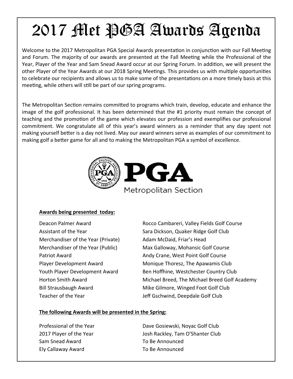## 2017 Met PGA Awards Agenda

Welcome to the 2017 Metropolitan PGA Special Awards presentation in conjunction with our Fall Meeting and Forum. The majority of our awards are presented at the Fall Meeting while the Professional of the Year, Player of the Year and Sam Snead Award occur at our Spring Forum. In addition, we will present the other Player of the Year Awards at our 2018 Spring Meetings. This provides us with multiple opportunities to celebrate our recipients and allows us to make some of the presentations on a more timely basis at this meeting, while others will still be part of our spring programs.

The Metropolitan Section remains committed to programs which train, develop, educate and enhance the image of the golf professional. It has been determined that the #1 priority must remain the concept of teaching and the promotion of the game which elevates our profession and exemplifies our professional commitment. We congratulate all of this year's award winners as a reminder that any day spent not making yourself better is a day not lived. May our award winners serve as examples of our commitment to making golf a better game for all and to making the Metropolitan PGA a symbol of excellence.



#### **Awards being presented today:**

Merchandiser of the Year (Private) **Meand McDaid, Friar's Head** 

Deacon Palmer Award **Base Communist Course** Rocco Cambareri, Valley Fields Golf Course Assistant of the Year **Sara Dickson, Quaker Ridge Golf Club** Merchandiser of the Year (Public) Max Galloway, Mohansic Golf Course Patriot Award Andy Crane, West Point Golf Course Player Development Award Monique Thoresz, The Apawamis Club Youth Player Development Award **Ben Hoffhine, Westchester Country Club** Horton Smith Award Michael Breed, The Michael Breed Golf Academy Bill Strausbaugh Award Mike Gilmore, Winged Foot Golf Club Teacher of the Year Jeff Gschwind, Deepdale Golf Club

#### **The following Awards will be presented in the Spring:**

Sam Snead Award **TO Be Announced** Ely Callaway Award To Be Announced

Professional of the Year **Dave Gosiewski, Noyac Golf Club** 2017 Player of the Year Josh Rackley, Tam O'Shanter Club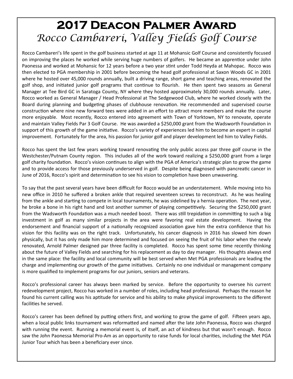## **2017 Deacon Palmer Award**  *Rocco Cambareri, Valley Fields Golf Course*

Rocco Cambareri's life spent in the golf business started at age 11 at Mohansic Golf Course and consistently focused on improving the places he worked while serving huge numbers of golfers. He became an apprentice under John Paonessa and worked at Mohansic for 12 years before a two year stint under Todd Heyda at Mahopac. Rocco was then elected to PGA membership in 2001 before becoming the head golf professional at Saxon Woods GC in 2001 where he hosted over 45,000 rounds annually, built a driving range, short game and teaching areas, renovated the golf shop, and initiated junior golf programs that continue to flourish. He then spent two seasons as General Manager at Tee Bird GC in Saratoga County, NY where they hosted approximately 30,000 rounds annually. Later, Rocco worked as General Manager / Head Professional at The Sedgewood Club, where he worked closely with the Board during planning and budgeting phases of clubhouse renovation. He recommended and supervised course construction where nine new forward tees were added in an effort to attract more members and make the course more enjoyable. Most recently, Rocco entered into agreement with Town of Yorktown, NY to renovate, operate and maintain Valley Fields Par 3 Golf Course. He was awarded a \$250,000 grant from the Wadsworth Foundation in support of this growth of the game initiative. Rocco's variety of experiences led him to become an expert in capital improvement. Fortunately for the area, his passion for junior golf and player development led him to Valley Fields.

Rocco has spent the last few years working toward renovating the only public access par three golf course in the Westchester/Putnam County region. This includes all of the work toward realizing a \$250,000 grant from a large golf charity foundation. Rocco's vision continues to align with the PGA of America's strategic plan to grow the game and to provide access for those previously underserved in golf. Despite being diagnosed with pancreatic cancer in June of 2016, Rocco's spirit and determination to see his vision to completion have been unwavering.

To say that the past several years have been difficult for Rocco would be an understatement. While moving into his new office in 2010 he suffered a broken ankle that required seventeen screws to reconstruct. As he was healing from the ankle and starting to compete in local tournaments, he was sidelined by a hernia operation. The next year, he broke a bone in his right hand and lost another summer of playing competitively. Securing the \$250,000 grant from the Wadsworth Foundation was a much needed boost. There was still trepidation in committing to such a big investment in golf as many similar projects in the area were favoring real estate development. Having the endorsement and financial support of a nationally recognized association gave him the extra confidence that his vision for this facility was on the right track. Unfortunately, his cancer diagnosis in 2016 has slowed him down physically, but it has only made him more determined and focused on seeing the fruit of his labor when the newly renovated, Arnold Palmer designed par three facility is completed. Rocco has spent some time recently thinking about the future of Valley Fields and searching for his replacement as day to day manager. His thoughts always end in the same place: the facility and local community will be best served when Met PGA professionals are leading the charge and implementing our growth of the game initiatives. Certainly no one individual or management company is more qualified to implement programs for our juniors, seniors and veterans.

Rocco's professional career has always been marked by service. Before the opportunity to oversee his current redevelopment project, Rocco has worked in a number of roles, including head professional. Perhaps the reason he found his current calling was his aptitude for service and his ability to make physical improvements to the different facilities he served.

Rocco's career has been defined by putting others first, and working to grow the game of golf. Fifteen years ago, when a local public links tournament was reformatted and named after the late John Paonessa, Rocco was charged with running the event. Running a memorial event is, of itself, an act of kindness but that wasn't enough. Rocco saw the John Paonessa Memorial Pro-Am as an opportunity to raise funds for local charities, including the Met PGA Junior Tour which has been a beneficiary ever since.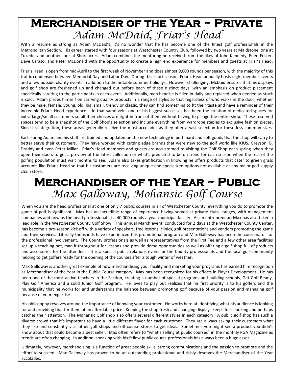## **Merchandiser of the Year ~ Private**  *Adam McDaid, Friar's Head*

With a resume as strong as Adam McDaid's, it's no wonder that he has become one of the finest golf professionals in the Metropolitan Section. His career started with four seasons at Westchester Country Club, followed by two years at Maidstone, one at Tuxedo, and another four at Shoreacres. Adam combines the mentoring he received from the likes of John Kennedy, Eden Foster, Dave Carazo, and Peter McDonald with the opportunity to create a high end experience for members and guests at Friar's Head.

Friar's Head is open from mid‐April to the first week of November and does almost 9,000 rounds per season, with the majority of this traffic condensed between Memorial Day and Labor Day. During this short season, Friar's Head annually hosts eight member events and a few outside charity events in addition to the notable summer holidays. However challenging, McDaid ensures that his displays and golf shop are freshened up and changed out before each of these distinct days, with an emphasis on product placement specifically catering to the participants in each event. Additionally, merchandise is filled in daily and replaced when needed as stock is sold. Adam prides himself on carrying quality products in a range of styles so that regardless of who walks in the door; whether they be male, female, young, old, big, small, trendy or classic, they can find something to fit their taste and have a reminder of their incredible Friar's Head experience. In that same vein, one of his biggest successes has been the creation of dedicated spaces for extra-large/small customers so all their choices are right in front of them without having to pillage the entire shop. These reserved spaces tend to be a snapshot of the Golf Shop's selection and include everything from wardrobe staples to exclusive fashion pieces. Since its integration, these areas generally receive the most accolades as they offer a vast selection for these less common sizes.

Each spring Adam and his staff are trained and updated on the new technology in both hard and soft goods that the shop will carry to better serve their customers. They have worked with cutting edge brands that were new to the golf world like KJUS, Greyson, B. Draddy and even Peter Millar. Friar's Head members and guests are accustomed to visiting the Golf Shop each spring when they open their doors to get a preview of the latest collection or what's predicted to be on trend for each season when the rest of the golfing population must wait months to see. Adam also takes gratification in knowing he offers products that cater to green grass accounts like Friar's Head so that his customers are receiving unique and specialized options not available at any major golf supply chain store.

## **Merchandiser of the Year ~ Public**  *Max Galloway, Mohansic Golf Course*

When you are the head professional at one of only 7 public courses in all of Westchester County, everything you do to promote the game of golf is significant. Max has an incredible range of experience having served at private clubs, ranges, with management companies and now as the head professional at a 40,000 rounds a year municipal facility. As an entrepreneur, Max has also taken a lead role in the Westchester County Golf Show. This annual March event, conducted for 2 days at the Westchester County Center, has become a pre-season kick off with a variety of speakers, free lessons, clinics, golf presentations and vendors promoting the game and their services. Literally thousands have experienced this promotional program and Max Galloway has been the coordinator for the professional involvement. The County professionals as well as representatives from the First Tee and a few other area facilities set up a teaching net, man it throughout for lessons and provide demo opportunities as well as offering a golf shop full of products and accessories for the attendees. It is a special public relations event for the County professionals and the local golf community helping to get golfers ready for the opening of the courses after a tough winter of weather.

Max Galloway is another great example of how merchandising your facility and marketing your programs has earned him recognition as Merchandiser of the Year in the Public Course category. Max has been recognized for his efforts in Player Development. He has been one of the most active teachers in the Section, creating a number of special programs and building schools, Get Golf Ready, Play Golf America and a solid Junior Golf program. He loves to play but realizes that his first priority is to his golfers and the municipality that he works for and understands the balance between promoting golf because of your passion and managing golf because of your expertise.

His philosophy revolves around the importance of knowing your customer. He works hard at identifying what his audience is looking for and providing that for them at an affordable price. Keeping the shop fresh and changing displays keeps folks looking and perhaps catches their attention. The Mohansic Golf shop also offers several different styles in each category. A public golf shop has such a diverse crowd that it's important to have a little different flavor for each customer. They are always asking their customers what they like and constantly visit other golf shops and off-course stores to get ideas. Sometimes you might see a product you didn't know about that could become a best seller. Max often refers to "what's selling at public courses" in the monthly PGA Magazine as trends are often changing. In addition, speaking with his fellow public course professionals has always been a huge asset.

Ultimately, however, merchandising is a function of great people skills, strong communications and the passion to promote and the effort to succeed. Max Galloway has proven to be an outstanding professional and richly deserves the Merchandiser of the Year accolades.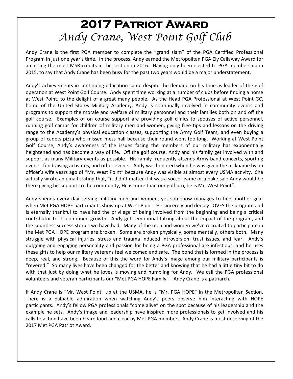## **2017 Patriot Award**  *Andy Crane, West Point Golf Club*

Andy Crane is the first PGA member to complete the "grand slam" of the PGA Certified Professional Program in just one year's time. In the process, Andy earned the Metropolitan PGA Ely Callaway Award for amassing the most MSR credits in the section in 2016. Having only been elected to PGA membership in 2015, to say that Andy Crane has been busy for the past two years would be a major understatement.

Andy's achievements in continuing education came despite the demand on his time as leader of the golf operation at West Point Golf Course. Andy spent time working at a number of clubs before finding a home at West Point, to the delight of a great many people. As the Head PGA Professional at West Point GC, home of the United States Military Academy, Andy is continually involved in community events and programs to support the morale and welfare of military personnel and their families both on and off the golf course. Examples of on course support are providing golf clinics to spouses of active personnel, running golf camps for children of military men and women, giving free tips and lessons on the driving range to the Academy's physical education classes, supporting the Army Golf Team, and even buying a group of cadets pizza who missed mess hall because their round went too long. Working at West Point Golf Course, Andy's awareness of the issues facing the members of our military has exponentially heightened and has become a way of life. Off the golf course, Andy and his family get involved with and support as many Military events as possible. His family frequently attends Army band concerts, sporting events, fundraising activates, and other events. Andy was honored when he was given the nickname by an officer's wife years ago of "Mr. West Point" because Andy was visible at almost every USMA activity. She actually wrote an email stating that, "it didn't matter if it was a soccer game or a bake sale Andy would be there giving his support to the community, He is more than our golf pro, he is Mr. West Point".

Andy spends every day serving military men and women, yet somehow manages to find another gear when Met PGA HOPE participants show up at West Point. He sincerely and deeply LOVES the program and is eternally thankful to have had the privilege of being involved from the beginning and being a critical contributor to its continued growth. Andy gets emotional talking about the impact of the program, and the countless success stories we have had. Many of the men and women we've recruited to participate in the Met PGA HOPE program are broken. Some are broken physically, some mentally, others both. Many struggle with physical injuries, stress and trauma induced introversion, trust issues, and fear. Andy's outgoing and engaging personality and passion for being a PGA professional are infectious, and he uses these gifts to help our military veterans feel welcomed and safe. The bond that is formed in the process is deep, real, and strong. Because of this the word for Andy's image among our military participants is "revered." So many lives have been changed for the better and knowing that he had a little tiny bit to do with that just by doing what he loves is moving and humbling for Andy. We call the PGA professional volunteers and veteran participants our "Met PGA HOPE Family"—Andy Crane is a patriarch.

If Andy Crane is "Mr. West Point" up at the USMA, he is "Mr. PGA HOPE" in the Metropolitan Section. There is a palpable admiration when watching Andy's peers observe him interacting with HOPE participants. Andy's fellow PGA professionals "come alive" on the spot because of his leadership and the example he sets. Andy's image and leadership have inspired more professionals to get involved and his calls to action have been heard loud and clear by Met PGA members. Andy Crane is most deserving of the 2017 Met PGA Patriot Award.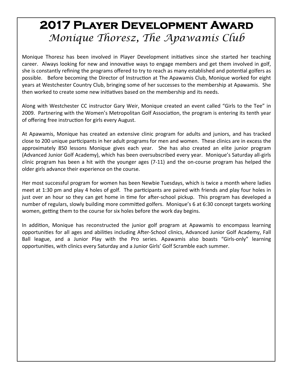## **2017 Player Development Award**  *Monique Thoresz, The Apawamis Club*

Monique Thoresz has been involved in Player Development initiatives since she started her teaching career. Always looking for new and innovative ways to engage members and get them involved in golf, she is constantly refining the programs offered to try to reach as many established and potential golfers as possible. Before becoming the Director of Instruction at The Apawamis Club, Monique worked for eight years at Westchester Country Club, bringing some of her successes to the membership at Apawamis. She then worked to create some new initiatives based on the membership and its needs.

Along with Westchester CC instructor Gary Weir, Monique created an event called "Girls to the Tee" in 2009. Partnering with the Women's Metropolitan Golf Association, the program is entering its tenth year of offering free instruction for girls every August.

At Apawamis, Monique has created an extensive clinic program for adults and juniors, and has tracked close to 200 unique participants in her adult programs for men and women. These clinics are in excess the approximately 850 lessons Monique gives each year. She has also created an elite junior program (Advanced Junior Golf Academy), which has been oversubscribed every year. Monique's Saturday all‐girls clinic program has been a hit with the younger ages (7‐11) and the on‐course program has helped the older girls advance their experience on the course.

Her most successful program for women has been Newbie Tuesdays, which is twice a month where ladies meet at 1:30 pm and play 4 holes of golf. The participants are paired with friends and play four holes in just over an hour so they can get home in time for after-school pickup. This program has developed a number of regulars, slowly building more committed golfers. Monique's 6 at 6:30 concept targets working women, getting them to the course for six holes before the work day begins.

In addition, Monique has reconstructed the junior golf program at Apawamis to encompass learning opportunities for all ages and abilities including After-School clinics, Advanced Junior Golf Academy, Fall Ball league, and a Junior Play with the Pro series. Apawamis also boasts "Girls-only" learning opportuniƟes, with clinics every Saturday and a Junior Girls' Golf Scramble each summer.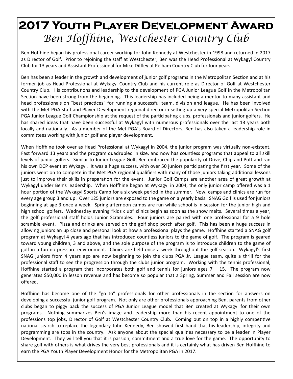## **2017 Youth Player Development Award**  *Ben Hoffhine, Westchester Country Club*

Ben Hoffhine began his professional career working for John Kennedy at Westchester in 1998 and returned in 2017 as Director of Golf. Prior to rejoining the staff at Westchester, Ben was the Head Professional at Wykagyl Country Club for 13 years and Assistant Professional for Mike Diffley at Pelham Country Club for four years.

Ben has been a leader in the growth and development of junior golf programs in the Metropolitan Section and at his former job as Head Professional at Wykagyl Country Club and his current role as Director of Golf at Westchester Country Club. His contributions and leadership to the development of PGA Junior League Golf in the Metropolitan Section have been strong from the beginning. This leadership has included being a mentor to many assistant and head professionals on "best practices" for running a successful team, division and league. He has been involved with the Met PGA staff and Player Development regional director in setting up a very special Metropolitan Section PGA Junior League Golf Championship at the request of the participating clubs, professionals and junior golfers. He has shared ideas that have been successful at Wykagyl with numerous professionals over the last 13 years both locally and nationally. As a member of the Met PGA's Board of Directors, Ben has also taken a leadership role in committees working with junior golf and player development.

When Hoffhine took over as Head Professional at Wykagyl in 2004, the junior program was virtually non-existent. Fast forward 13 years and the program quadrupled in size, and now has countless programs that appeal to all skill levels of junior golfers. Similar to Junior League Golf, Ben embraced the popularity of Drive, Chip and Putt and ran his own DCP event at Wykagyl. It was a huge success, with over 50 juniors participating the first year. Some of the juniors went on to compete in the Met PGA regional qualifiers with many of those juniors taking additional lessons just to improve their skills in preparation for the event. Junior Golf Camps are another area of great growth at Wykagyl under Ben's leadership. When Hoffhine began at Wykagyl in 2004, the only junior camp offered was a 1 hour portion of the Wykagyl Sports Camp for a six week period in the summer. Now, camps and clinics are run for every age group 3 and up. Over 125 juniors are exposed to the game on a yearly basis. SNAG Golf is used for juniors beginning at age 3 once a week. Spring afternoon camps are run while school is in session for the junior high and high school golfers. Wednesday evening "kids club" clinics begin as soon as the snow melts. Several times a year, the golf professional staff holds Junior Scrambles. Four juniors are paired with one professional for a 9 hole scramble event. Pizza and drinks are served on the golf shop porch after golf. This has been a huge success in allowing juniors an up close and personal look at how a professional plays the game. Hoffhine started a SNAG golf program at Wykagyl 4 years ago that has introduced countless juniors to the game of golf. The program is geared toward young children, 3 and above, and the sole purpose of the program is to introduce children to the game of golf in a fun no pressure environment. Clinics are held once a week throughout the golf season. Wykagyl's first SNAG juniors from 4 years ago are now beginning to join the clubs PGA Jr. League team, quite a thrill for the professional staff to see the progression through the clubs junior program. Working with the tennis professional, Hoffhine started a program that incorporates both golf and tennis for juniors ages  $7 - 15$ . The program now generates \$50,000 in lesson revenue and has become so popular that a Spring, Summer and Fall session are now offered.

Hoffhine has become one of the "go to" professionals for other professionals in the section for answers on developing a successful junior golf program. Not only are other professionals approaching Ben, parents from other clubs began to piggy back the success of PGA Junior League model that Ben created at Wykagyl for their own programs. Nothing summarizes Ben's image and leadership more than his recent appointment to one of the professions top jobs, Director of Golf at Westchester Country Club. Coming out on top in a highly competitive national search to replace the legendary John Kennedy, Ben showed first hand that his leadership, integrity and programming are tops in the country. Ask anyone about the special qualities necessary to be a leader in Player Development. They will tell you that it is passion, commitment and a true love for the game. The opportunity to share golf with others is what drives the very best professionals and it is certainly what has driven Ben Hoffhine to earn the PGA Youth Player Development Honor for the Metropolitan PGA in 2017.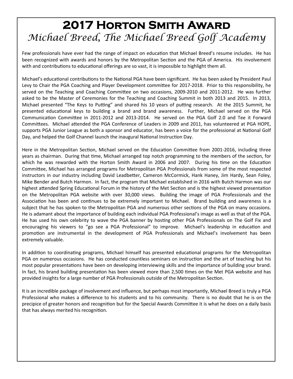## **2017 Horton Smith Award**  *Michael Breed, The Michael Breed Golf Academy*

Few professionals have ever had the range of impact on education that Michael Breed's resume includes. He has been recognized with awards and honors by the Metropolitan Section and the PGA of America. His involvement with and contributions to educational offerings are so vast, it is impossible to highlight them all.

Michael's educational contributions to the National PGA have been significant. He has been asked by President Paul Levy to Chair the PGA Coaching and Player Development committee for 2017-2018. Prior to this responsibility, he served on the Teaching and Coaching Committee on two occasions, 2009-2010 and 2011-2012. He was further asked to be the Master of Ceremonies for the Teaching and Coaching Summit in both 2013 and 2015. In 2013, Michael presented "The Keys to Putting" and shared his 10 years of putting research. At the 2015 Summit, he presented educational keys to building a brand and brand awareness. Further, Michael served on the PGA Communication Committee in 2011-2012 and 2013-2014. He served on the PGA Golf 2.0 and Tee it Forward Committees. Michael attended the PGA Conference of Leaders in 2009 and 2011, has volunteered at PGA HOPE, supports PGA Junior League as both a sponsor and educator, has been a voice for the professional at National Golf Day, and helped the Golf Channel launch the inaugural National Instruction Day.

Here in the Metropolitan Section, Michael served on the Education Committee from 2001-2016, including three years as chairman. During that time, Michael arranged top notch programming to the members of the section, for which he was rewarded with the Horton Smith Award in 2006 and 2007. During his time on the Education CommiƩee, Michael has arranged programs for Metropolitan PGA Professionals from some of the most respected instructors in our industry including David Leadbetter, Cameron McCormick, Hank Haney, Jim Hardy, Sean Foley, Mike Bender and Butch Harmon. In fact, the program that Michael established in 2016 with Butch Harmon was our highest attended Spring Educational Forum in the history of the Met Section and is the highest viewed presentation on the Metropolitan PGA website with over 30,000 views. Building the image of PGA Professionals and the Association has been and continues to be extremely important to Michael. Brand building and awareness is a subject that he has spoken to the Metropolitan PGA and numerous other sections of the PGA on many occasions. He is adamant about the importance of building each individual PGA Professional's image as well as that of the PGA. He has used his own celebrity to wave the PGA banner by hosting other PGA Professionals on The Golf Fix and encouraging his viewers to "go see a PGA Professional" to improve. Michael's leadership in education and promoƟon are instrumental in the development of PGA Professionals and Michael's involvement has been extremely valuable.

In addition to coordinating programs, Michael himself has presented educational programs for the Metropolitan PGA on numerous occasions. He has conducted countless seminars on instruction and the art of teaching but his most popular presentations have been on developing interviewing skills and the importance of building your brand. In fact, his brand building presentation has been viewed more than 2,500 times on the Met PGA website and has provided insights for a large number of PGA Professionals outside of the Metropolitan Section.

It is an incredible package of involvement and influence, but perhaps most importantly, Michael Breed is truly a PGA Professional who makes a difference to his students and to his community. There is no doubt that he is on the precipice of greater honors and recognition but for the Special Awards Committee it is what he does on a daily basis that has always merited his recognition.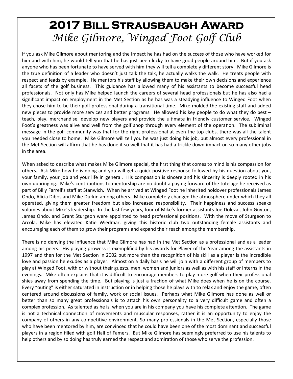## **2017 Bill Strausbaugh Award**  *Mike Gilmore, Winged Foot Golf Club*

If you ask Mike Gilmore about mentoring and the impact he has had on the success of those who have worked for him and with him, he would tell you that he has just been lucky to have good people around him. But if you ask anyone who has been fortunate to have served with him they will tell a completely different story. Mike Gilmore is the true definition of a leader who doesn't just talk the talk, he actually walks the walk. He treats people with respect and leads by example. He mentors his staff by allowing them to make their own decisions and experience all facets of the golf business. This guidance has allowed many of his assistants to become successful head professionals. Not only has Mike helped launch the careers of several head professionals but he has also had a significant impact on employment in the Met Section as he has was a steadying influence to Winged Foot when they chose him to be their golf professional during a transitional time. Mike molded the existing staff and added new pieces to provide more services and better programs. He allowed his key people to do what they do best – teach, play, merchandise, develop new players and provide the ultimate in friendly customer service. Winged Foot's greatness was alive and well from the golf shop through every element of the operation. The subliminal message in the golf community was that for the right professional at even the top clubs, there was all the talent you needed close to home. Mike Gilmore will tell you he was just doing his job, but almost every professional in the Met Section will affirm that he has done it so well that it has had a trickle down impact on so many other jobs in the area.

When asked to describe what makes Mike Gilmore special, the first thing that comes to mind is his compassion for others. Ask Mike how he is doing and you will get a quick positive response followed by his question about you, your family, your job and your life in general. His compassion is sincere and his sincerity is deeply rooted in his own upbringing. Mike's contributions to mentorship are no doubt a paying forward of the tutelage he received as part of Billy Farrell's staff at Stanwich. When he arrived at Winged Foot he inherited holdover professionals James Ondo, Alicia Dibos and Mike Durkin among others. Mike completely changed the atmosphere under which they all operated, giving them greater freedom but also increased responsibility. Their happiness and success speaks volumes about Mike's leadership. In the last few years, four of Mike's former assistants Joe Dolezal, John Guyton, James Ondo, and Grant Sturgeon were appointed to head professional positions. With the move of Sturgeon to Arcola, Mike has elevated Katie Wiedmar, giving this historic club two outstanding female assistants and encouraging each of them to grow their programs and expand their reach among the membership.

There is no denying the influence that Mike Gilmore has had in the Met Section as a professional and as a leader among his peers. His playing prowess is exemplified by his awards for Player of the Year among the assistants in 1997 and then for the Met Section in 2002 but more than the recognition of his skill as a player is the incredible love and passion he exudes as a player. Almost on a daily basis he will join with a different group of members to play at Winged Foot, with or without their guests, men, women and juniors as well as with his staff or interns in the evenings. Mike often explains that it is difficult to encourage members to play more golf when their professional shies away from spending the time. But playing is just a fraction of what Mike does when he is on the course. Every "outing" is either saturated in instruction or in helping those he plays with to relax and enjoy the game, often centered around discussions of family, work or social issues. Perhaps what Mike Gilmore has done as well or better than so many great professionals is to attach his own personality to a very difficult game and often a complex profession. As talented as he is, when you are in his company you have his complete attention. The game is not a technical connection of movements and muscular responses, rather it is an opportunity to enjoy the company of others in any competitive environment. So many professionals in the Met Section, especially those who have been mentored by him, are convinced that he could have been one of the most dominant and successful players in a region filled with golf Hall of Famers. But Mike Gilmore has seemingly preferred to use his talents to help others and by so doing has truly earned the respect and admiration of those who serve the profession.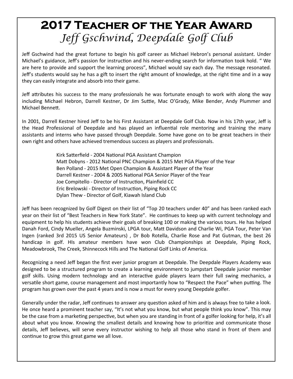## **2017 Teacher of the Year Award**  *Jeff Gschwind, Deepdale Golf Club*

Jeff Gschwind had the great fortune to begin his golf career as Michael Hebron's personal assistant. Under Michael's guidance, Jeff's passion for instruction and his never-ending search for information took hold. "We are here to provide and support the learning process", Michael would say each day. The message resonated. Jeff's students would say he has a gift to insert the right amount of knowledge, at the right time and in a way they can easily integrate and absorb into their game.

Jeff attributes his success to the many professionals he was fortunate enough to work with along the way including Michael Hebron, Darrell Kestner, Dr Jim Suttie, Mac O'Grady, Mike Bender, Andy Plummer and Michael Bennett.

In 2001, Darrell Kestner hired Jeff to be his First Assistant at Deepdale Golf Club. Now in his 17th year, Jeff is the Head Professional of Deepdale and has played an influential role mentoring and training the many assistants and interns who have passed through Deepdale. Some have gone on to be great teachers in their own right and others have achieved tremendous success as players and professionals.

> Kirk Satterfield - 2004 National PGA Assistant Champion Matt Dobyns - 2012 National PNC Champion & 2015 Met PGA Player of the Year Ben Polland ‐ 2015 Met Open Champion & Assistant Player of the Year Darrell Kestner - 2004 & 2005 National PGA Senior Player of the Year Joe Compitello - Director of Instruction, Plainfield CC Eric Brelowski - Director of Instruction, Piping Rock CC Dylan Thew ‐ Director of Golf, Kiawah Island Club

Jeff has been recognized by Golf Digest on their list of "Top 20 teachers under 40" and has been ranked each year on their list of "Best Teachers in New York State". He continues to keep up with current technology and equipment to help his students achieve their goals of breaking 100 or making the various tours. He has helped Danah Ford, Cindy Mueller, Angela Buzminski, LPGA tour, Matt Davidson and Charlie Wi, PGA Tour, Peter Van Ingen (ranked 3rd 2015 US Senior Amateurs) , Dr Bob Rotella, Charlie Rose and Pat Gutman, the best 26 handicap in golf. HIs amateur members have won Club Championships at Deepdale, Piping Rock, Meadowbrook, The Creek, Shinnecock Hills and The National Golf Links of America.

Recognizing a need Jeff began the first ever junior program at Deepdale. The Deepdale Players Academy was designed to be a structured program to create a learning environment to jumpstart Deepdale junior member golf skills. Using modern technology and an interactive guide players learn their full swing mechanics, a versatile short game, course management and most importantly how to "Respect the Pace" when putting. The program has grown over the past 4 years and is now a must for every young Deepdale golfer.

Generally under the radar, Jeff continues to answer any question asked of him and is always free to take a look. He once heard a prominent teacher say, "It's not what you know, but what people think you know". This may be the case from a marketing perspective, but when you are standing in front of a golfer looking for help, it's all about what you know. Knowing the smallest details and knowing how to prioritize and communicate those details, Jeff believes, will serve every instructor wishing to help all those who stand in front of them and continue to grow this great game we all love.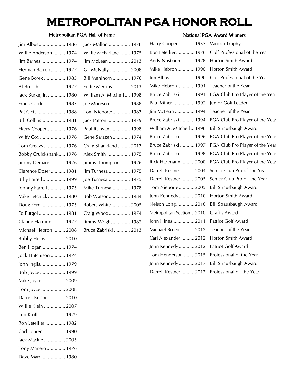#### Metropolitan PGA Hall of Fame

| Jim Albus  1986        |
|------------------------|
| Willie Anderson  1974  |
| Jim Barnes  1974       |
| Herman Barron 1977     |
| Gene Borek  1985       |
| Al Brosch 1977         |
| Jack Burke, Jr.  1980  |
| Frank Cardi 1983       |
| Pat Cici  1988         |
| Bill Collins 1981      |
| Harry Cooper 1976      |
| Wiffy Cox  1976        |
| Tom Creavy 1976        |
| Bobby Cruickshank 1976 |
| Jimmy Demaret 1976     |
| Clarence Doser 1981    |
| Billy Farrell 1999     |
| Johnny Farrell  1975   |
| Mike Fetchick  1980    |
| Doug Ford  1975        |
| Ed Furgol  1981        |
| Claude Harmon  1977    |
| Michael Hebron  2008   |
| Bobby Heins 2010       |
| Ben Hogan  1974        |
| Jock Hutchison  1974   |
| John Inglis 1979       |
| Bob Joyce  1999        |
| Mike Joyce  2009       |
| Tom Joyce  2008        |
| Darrell Kestner 2010   |
| Willie Klein  2007     |
| Ted Kroll 1979         |
| Ron Letellier  1982    |
| Carl Lohren 1990       |
| Jack Mackie  2005      |
| Tony Manero  1976      |
| Dave Marr  1980        |

| Jack Mallon  1978         |
|---------------------------|
| Willie McFarlane 1975     |
| Jim McLean  2013          |
| Gil McNally  2008         |
| Bill Mehlhorn  1976       |
| Eddie Merrins  2013       |
| William A. Mitchell  1998 |
| Joe Moresco  1988         |
| Tom Nieporte 1983         |
| Jack Patroni  1979        |
| Paul Runyan  1998         |
| Gene Sarazen  1974        |
| Craig Shankland  2013     |
| Alex Smith  1975          |
| Jimmy Thompson  1976      |
| Jim Turnesa  1975         |
| loe Turnesa 1975          |
| Mike Turnesa 1978         |
| Bob Watson 1984           |
| Robert White 2005         |
| Craig Wood 1974           |
| Jimmy Wright 1982         |
| Bruce Zabriski  2013      |

| Harry Cooper 1937         | Vardon Trophy                   |
|---------------------------|---------------------------------|
| Ron Letellier  1976       | Golf Professional of the Year   |
| Andy Nusbaum 1978         | Horton Smith Award              |
| Mike Hebron  1990         | Horton Smith Award              |
| Jim Albus1990             | Golf Professional of the Year   |
| Mike Hebron1991           | Teacher of the Year             |
| Bruce Zabriski  1991      | PGA Club Pro Player of the Year |
| Paul Miner  1992          | Junior Golf Leader              |
| Jim McLean 1994           | Teacher of the Year             |
| Bruce Zabriski  1994      | PGA Club Pro Player of the Year |
| William A. Mitchell  1996 | <b>Bill Strausbaugh Award</b>   |
| Bruce Zabriski  1996      | PGA Club Pro Player of the Year |
| Bruce Zabriski  1997      | PGA Club Pro Player of the Year |
| Bruce Zabriski  1998      | PGA Club Pro Player of the Year |
| Rick Hartmann 2000        | PGA Club Pro Player of the Year |
| Darrell Kestner 2004      | Senior Club Pro of the Year     |
| Darrell Kestner 2005      | Senior Club Pro of the Year     |
| Tom Nieporte2005          | <b>Bill Strausbaugh Award</b>   |
| John Kennedy 2010         | Horton Smith Award              |
| Nelson Long2010           | <b>Bill Strausbaugh Award</b>   |
| Metropolitan Section2010  | Graffis Award                   |
| John Hines2011            | Patriot Golf Award              |
| Michael Breed2012         | Teacher of the Year             |
| Carl Alexander 2012       | <b>Horton Smith Award</b>       |
| John Kennedy2012          | Patriot Golf Award              |
| Tom Henderson 2015        | Professional of the Year        |
| John Kennedy2017          | <b>Bill Strausbaugh Award</b>   |
| Darrell Kestner 2017      | Professional of the Year        |

#### National PGA Award Winners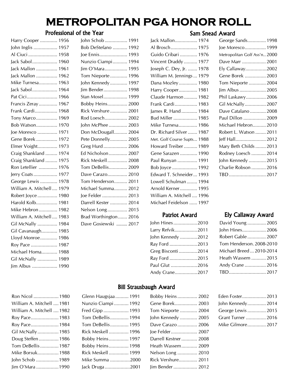#### Professional of the Year Sam Snead Award

| Harry Cooper  1956          |
|-----------------------------|
| John Inglis  1957           |
| Al Ciuci  1958              |
| Jack Sabol 1960             |
| Jack Mallon  1961           |
| Jack Mallon<br>1962         |
| Mike Turnesa 1963           |
| Jack Sabol 1964             |
| Pat Cici<br>1966            |
| Francis Zeray<br>1967       |
| Frank Cardi 1968            |
| Tony Marco 1969             |
| Bob Watson<br>1970          |
| Joe Moresco  1971           |
| Gene Borek  1972            |
| Elmer Voight<br>1973        |
| Craig Shankland<br>1974     |
| Craig Shankland<br>1975     |
| Ron Letellier  1976         |
| Jerry Coats<br>1977         |
| George Lewis<br>1978        |
| William A. Mitchell<br>1979 |
| Robert Joyce<br>1980        |
| Harold Kolb<br>1981         |
| Mike Hebron<br>1982         |
| William A. Mitchell<br>1983 |
| Gil McNally<br>1984         |
| Gil Cavanaugh<br>1985       |
| Lloyd Monroe 1986           |
| Roy Pace  1987              |
| Michael Homa 1988           |
| Gil McNally  1989           |
| Jim Albus  1990             |
|                             |

| John Schob 1991       |
|-----------------------|
| Bob DeStefano  1992   |
| Joe Ennis 1993        |
| Nunzio Ciampi 1994    |
| Jim O'Mara 1995       |
| Tom Nieporte 1996     |
| John Kennedy  1997    |
| Jim Bender 1998       |
| Stan Mosel 1999       |
| Bobby Heins 2000      |
| Rick Vershure  2001   |
| Rod Loesch 2002       |
| John McPhee  2003     |
| Don McDougall 2004    |
| Pete Donnelly 2005    |
| Greg Hurd  2006       |
| Ed Nicholson 2007     |
| Rick Meskell 2008     |
| Tom DeBellis 2009     |
| Dave Carazo 2010      |
| Tom Henderson 2011    |
| Michael Summa 2012    |
| Joe Felder  2013      |
| Darrell Kester  2014  |
| Nelson Long 2015      |
| Brad Worthington 2016 |
| Dave Gosiewski  2017  |

| Jack Mallon 1974            |  |
|-----------------------------|--|
| Al Brosch 1975              |  |
| Guido Cribari  1976         |  |
| Vincent Draddy  1977        |  |
| Joseph C. Dey, Jr.  1978    |  |
| William M. Jennings  1979   |  |
| Dana Mozley 1980            |  |
| Harry Cooper 1981           |  |
| Claude Harmon  1982         |  |
| Frank Cardi 1983            |  |
| James R. Hand  1984         |  |
| Bud Miller  1985            |  |
| Mike Turnesa 1986           |  |
| Dr. Richard Silver  1987    |  |
| Met. Golf Course Supts 1988 |  |
| Howard Treiber  1989        |  |
| Gene Sarazen  1990          |  |
| Paul Runyan  1991           |  |
| Bob Joyce  1992             |  |
| Edward T. Schneider 1993    |  |
| Lowell Schulman  1994       |  |
| Arnold Kerner 1995          |  |
| William A. Mitchell  1996   |  |
| Michael Feidelson  1997     |  |
|                             |  |

#### Patriot Award

| John Hines 2010    |  |
|--------------------|--|
| Larry Refvik2011   |  |
| John Kennedy 2012  |  |
| Ray Ford 2013      |  |
| Greg Bisconti 2014 |  |
| Ray Ford 2015      |  |
| Paul Glut 2016     |  |
| Andy Crane2017     |  |
|                    |  |

Bill Strausbaugh Award

| George Sands 1998            |
|------------------------------|
| Joe Moresco 1999             |
| Metropolitan Golf Ass'n 2000 |
| Dave Marr  2001              |
| Ely Callaway2002             |
| Gene Borek  2003             |
| Tom Nieporte  2004           |
| Jim Albus  2005              |
| Phil Laskawy 2006            |
| Gil McNally 2007             |
| Dave Catalano  2008          |
| Paul Dillon  2009            |
| Michael Hebron 2010          |
| Robert L. Watson  2011       |
| Jeff Hall 2012               |
| Mary Beth Childs  2013       |
| Rodney Loesch  2014          |
| John Kennedy  2015           |
| Charlie Robson  2016         |
| TBD2017                      |
|                              |

#### Ely Callaway Award

| David Young  2005        |  |
|--------------------------|--|
| John Hines 2006          |  |
| Robert Gable  2007       |  |
| Tom Henderson, 2008-2010 |  |
| Michael Breed  2010-2014 |  |
| Heath Wassem  2015       |  |
| Andy Crane  2016         |  |
|                          |  |

| Ron Nicol  1980           |
|---------------------------|
| William A. Mitchell  1981 |
| 1982 William A. Mitchell  |
| Roy Pace 1983             |
| Roy Pace 1984             |
| Gil McNally 1985          |
| Doug Steffen  1986        |
| Tom DeBellis  1987        |
| Mike Borsuk 1988          |
| John Schob 1989           |
| Jim O'Mara 1990           |

#### Glenn Haugsjaa .......... 1991 Nunzio Ciampi ........... 1992 Fred Gipp ................... 1993 Tom DeBellis .............. 1994 Tom DeBellis .............. 1995 Rick Meskell ............... 1996 Bobby Heins ............... 1997 Bobby Heins ............... 1998 Rick Meskell ............... 1999 Mike Summa ............... 2000 Jack Druga ................... 2001

| Bobby Heins  2002    |
|----------------------|
| Gene Borek 2003      |
| Tom Nieporte  2004   |
| John Kennedy  2005   |
| Dave Carazo  2006    |
| Joe Felder 2007      |
| Darrell Kestner 2008 |
| Heath Wassem 2009    |
| Nelson Long  2010    |
| Rick Vershure 2011   |
| Jim Bender  2012     |
|                      |

| Eden Foster 2013   |
|--------------------|
| John Kennedy 2014  |
| George Lewis  2015 |
| Grant Turner  2016 |
| Mike Gilmore 2017  |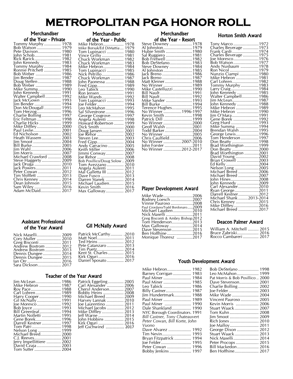| Merchandiser                           |              |
|----------------------------------------|--------------|
| of the Year - Private                  |              |
| Tommy Murphy<br>Bob Watson             | 1978         |
|                                        | 1979         |
| Davison<br>Pete                        | 1980         |
| John Schob                             | 1981         |
| Rick Rarick<br>1                       | 982          |
| John Kennedy                           | 1983         |
|                                        | 1984         |
|                                        | 1985         |
| Bob Weber                              | 1986         |
| Iim Bender                             | 1987         |
| Doug Steffen                           | 1988         |
| Bob Weber<br>Mike Summa<br>Mike Summa  | 989<br>1     |
| 1                                      | 990          |
| John Kennedy<br>Walter Campbell        | 1991         |
|                                        | 1992         |
| Jack McGown                            | 1993<br>1994 |
| Jim Bender<br>Don McDougall            | 1995         |
|                                        | 1996         |
| Tom Herzog<br>Char <u>l</u> ie Bolling | 1997         |
| Eric Feltman ̃                         | 1998         |
| Charlie Hicks                          | 1999         |
| Mike Diffley                           | 2000         |
| Paul Leslie                            | 2001         |
| Ed Nicholson                           | 2002         |
| Heath Wassem                           | 2003         |
| lim Smoot                              | 2004         |
| Bill Burke                             | 2005         |
| lim Wahl                               | 2006         |
|                                        | 2007         |
| Jim Morris<br>Michael Crawford         | 2008         |
| Steve Haggerty                         | 2009         |
| Jack Druga                             | 2010         |
| Jack Powers                            | 201          |
| Peter Cowan                            | 201          |
| Tim Shifflett                          | 201          |
| Chris Kenney<br>Dean Johnson           | 2014         |
|                                        | 201          |
| Sam Wiley<br>Adam McDaid               | 201          |
|                                        | 201          |

| Merchandiser         |  |
|----------------------|--|
| of the Year - Public |  |

| Mike Hebron<br>Mike Borsuk/Ed DiMattia                             | 1978             |
|--------------------------------------------------------------------|------------------|
|                                                                    | 1979             |
|                                                                    | 1980             |
| Tom Lupinacci<br>Vince Grillo                                      | 1981             |
|                                                                    | 1982             |
|                                                                    | 1983             |
|                                                                    | 1984             |
| Chuck Workman<br>Chuck Workman<br>Mike Hebron                      |                  |
| Tom Lupinacci                                                      | 1985             |
| Nick Petrillo<br>Chuck Workman                                     | 1986             |
|                                                                    | 1987             |
| John Paonessa                                                      | 1988             |
|                                                                    | 1989             |
|                                                                    | 1990             |
|                                                                    | 1991             |
|                                                                    | 1992             |
| Tom Lupinacci<br>Joe Felder                                        | 1993             |
|                                                                    | 1994             |
| Leo McMahon                                                        | 1995             |
| Sal Silvestrone                                                    | 1996             |
|                                                                    | 1997             |
| George Cosgrove<br>Angela Aulenti<br>Howard Robertson              | 1998             |
|                                                                    | 1999             |
| Dick Smith                                                         | 2000             |
| Doug Jansen                                                        | 2001             |
| loe Rehor                                                          | 2002             |
| Steven Lee                                                         | 2003             |
|                                                                    | 2004             |
|                                                                    | 2005             |
|                                                                    | $\frac{5006}{ }$ |
| limmi Conway                                                       | 2007             |
|                                                                    |                  |
| Joe Rehor  2008                                                    |                  |
| Bob Posillico/Doug Solow . 2009                                    |                  |
| Tom Avezzano  2010                                                 |                  |
|                                                                    |                  |
| Angela Aulenti  2011<br>Mal Galletta III  2012<br>Dave Fusco  2013 |                  |
| Dave Fusco                                                         |                  |
| Darren Stanek  2014                                                |                  |
| Michael Laudien 2015                                               |                  |
| Kevin Smith 2016                                                   |                  |
| Max Galloway 2017                                                  |                  |

### **Merchandiser**

#### of the Year - Resort

| Steve Downey 1978                      |  |
|----------------------------------------|--|
|                                        |  |
| Al Johnston1979<br>Hubie Smith 1980    |  |
|                                        |  |
| Sal Ruggiero 1981<br>Bob Fretwell 1982 |  |
| Bob DeStefano1983                      |  |
| Steve Downey 1984                      |  |
| Al Johnston 1985                       |  |
| Jack Breno 1986                        |  |
| Jack Breno 1987                        |  |
| Matt Kleiner1988                       |  |
| No Winner 1989                         |  |
| Mike Castelluzzi 1990                  |  |
| Biḷḷ Nauḷt1991                         |  |
| Bill Nault………………………1992                |  |
| Mike Sander 1993                       |  |
| Bill Burke 1994                        |  |
| Terence Hughes1995                     |  |
| No Winner 1996-1997                    |  |
| Kevin Smith 1998                       |  |
| Patrick Dill 1999                      |  |
| No Winner 2000                         |  |
| Geoff Walsh 2001                       |  |
| Todd Barker2004                        |  |
| No Winner 2005                         |  |
| Chris Caulfield2006                    |  |
| No Winner 2007-2010                    |  |
| John Forster 2011                      |  |
| No Winner 2012-2017                    |  |
|                                        |  |

### Horton Smith Award

| Tony Marco 1972<br>Charles Beverage 1973                                                               |  |
|--------------------------------------------------------------------------------------------------------|--|
|                                                                                                        |  |
|                                                                                                        |  |
|                                                                                                        |  |
|                                                                                                        |  |
|                                                                                                        |  |
|                                                                                                        |  |
|                                                                                                        |  |
|                                                                                                        |  |
|                                                                                                        |  |
|                                                                                                        |  |
|                                                                                                        |  |
|                                                                                                        |  |
|                                                                                                        |  |
|                                                                                                        |  |
|                                                                                                        |  |
|                                                                                                        |  |
|                                                                                                        |  |
|                                                                                                        |  |
|                                                                                                        |  |
|                                                                                                        |  |
|                                                                                                        |  |
|                                                                                                        |  |
|                                                                                                        |  |
|                                                                                                        |  |
|                                                                                                        |  |
|                                                                                                        |  |
| Don Beatty<br>Brad Worthington 2000<br>Brad Worthington 2001<br>David Young 2003<br>Brian Crowell 2003 |  |
|                                                                                                        |  |
|                                                                                                        |  |
|                                                                                                        |  |
|                                                                                                        |  |
|                                                                                                        |  |
|                                                                                                        |  |
|                                                                                                        |  |
|                                                                                                        |  |
|                                                                                                        |  |
|                                                                                                        |  |
|                                                                                                        |  |
|                                                                                                        |  |
|                                                                                                        |  |
|                                                                                                        |  |
| Mike Diffley2016<br>Michael Breed 2017                                                                 |  |
|                                                                                                        |  |

### Player Development Award

| Mike Wade2006                      |  |
|------------------------------------|--|
| Rodney Loesch 2007                 |  |
| Vinnie Pauroso 2008                |  |
| Paul Giordano/Todd Bordonaro….2009 |  |
| Michael Laudien2010                |  |
| Nick Maselli 2011                  |  |
| Greg Bisconti & Ambry Bishop 2012  |  |
| Tom Henderson2013                  |  |
| Max Galloway 2014                  |  |
| Dave Stevenson 2015                |  |
| Ben Hoffhine 2016                  |  |
| Monique Thoresz  2017              |  |
|                                    |  |

#### Deacon Palmer Award

| William A. Mitchell  2015 |  |
|---------------------------|--|
|                           |  |
| Rocco Cambareri  2017     |  |

#### Youth Development Award

| Mike Hebron 1982               |
|--------------------------------|
| Barney Corrigan  1983          |
| Paul Miner<br>1984             |
| 1985<br>Paul Miner             |
| 1986<br>Leo Tabick             |
| Billy Castner 1987             |
| Jim Hundertmark 1988           |
| Paul Miner  1989               |
| Paul Miner  1990               |
| Dale Shankland 1990            |
| NYC Borough Coordinators. 1991 |
| Bill Castner, Tony Chateauvert |
| Peter Cowan, Bill Korte, John  |
| Vuono                          |
| Dave Alvarez<br>1992           |
| 1993<br>Tim Nevin              |
| Bryan Fitzpatrick  1994        |
| Joe Felder 1995                |
| Peter Cowan  1996              |
| Bobby lenkins  1997            |

| Bob DeStefano  1998              |
|----------------------------------|
| Leo McMahon 1999                 |
| Pat Morris & Bob Posillico  2000 |
| Dave Stevenson 2001              |
| Charlie Bolling  2002            |
|                                  |
| Mike Wade  2004                  |
| Vincent Pauroso  2005            |
| Kevin Morris   2006              |
| Stuart Waack  2007               |
| Tom Kuhn  2008                   |
| Jim Smoot  2009                  |
| Rich Jones  2010                 |
|                                  |
| George Dixon  2012               |
| Stuart Waack  2013               |
| Nick Maselli  2014               |
| Peter Procops  2015              |
| Bill Mackedon 2016               |
| Ben Hoffhine 2017                |

#### Assistant Professional of the Year Award

| Nick Maselli 2009    |  |
|----------------------|--|
| Cory Muller  2010    |  |
| Greg Bisconti  2011  |  |
| Andrew Bostrom  2012 |  |
| Andrew Bostrom  2013 |  |
| Dennis Dungee 2014   |  |
| Dennis Dungee 2015   |  |
|                      |  |
|                      |  |

#### Gil McNally Award

| Patrick McCarthy .2010 |  |
|------------------------|--|
| Matt Noel 2011         |  |
| Ted Heins  2012        |  |
| Pete Catanzaro  2013   |  |
|                        |  |
| Kent St. Charles 2015  |  |
| Kirk Oguri  2016       |  |
| Daniel Sposato  2017   |  |

Patrick Eggeling ............. 2005 Carl Alexander .............. 2006 Cheryl Anderson............ 2007 Bobby Heins ................. 2008 Michael Breed ............... 2009 Harvey Lannak .............. 2010 Joe Laurentino ............... 2011 Michael Jacobs .............. 2012 Mike Diffley .................. 2013 Jeff Warne ..................... 2014 John Hobbins ................ 2015 Kirk Oguri ..................... 2016 Jeff Gschwind ................. 2017

#### Teacher of the Year Award

| Jim McLean 1986              |      |
|------------------------------|------|
| Mike Hebron  1987            |      |
| Roy Pace 1988                |      |
| Carl Lohren 1989             |      |
| Harry Cooper                 | 1990 |
| Gil McNally                  | 1991 |
| loe Moresco                  | 1992 |
|                              | 1993 |
| ́Воb Joyce<br>Bill Greenleaf | 1994 |
| Martin Nolletti              | 1995 |
| Gene Borek                   | 1996 |
| Darrell Kestner              | 1997 |
| Tom Patri                    | 1998 |
| Nelson Long                  | 1999 |
| Michael Breed                | 2000 |
| C.J. Reeves                  | 2001 |
| Jerry Impellittiere  2002    |      |
| David Czaja  2003            |      |
| Tom Sutter  2004             |      |
|                              |      |

| l Jl. UHdHCS 201J                |  |
|----------------------------------|--|
|                                  |  |
| Oguri  2016<br>iel Sposato  2017 |  |
|                                  |  |